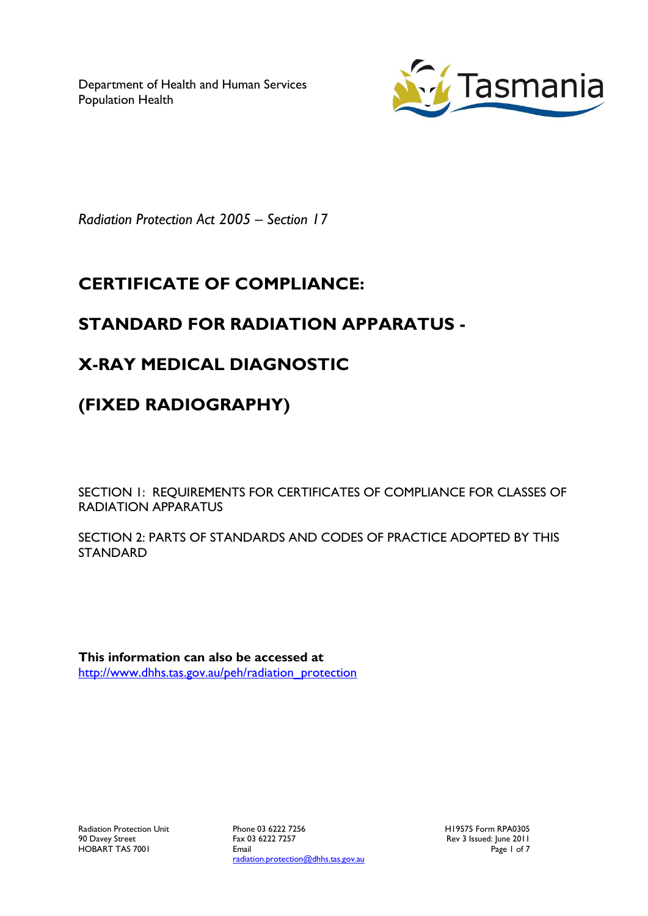Department of Health and Human Services Population Health



*Radiation Protection Act 2005 – Section 17*

# **CERTIFICATE OF COMPLIANCE:**

### **STANDARD FOR RADIATION APPARATUS -**

### **X-RAY MEDICAL DIAGNOSTIC**

# **(FIXED RADIOGRAPHY)**

SECTION 1: REQUIREMENTS FOR CERTIFICATES OF COMPLIANCE FOR CLASSES OF RADIATION APPARATUS

SECTION 2: PARTS OF STANDARDS AND CODES OF PRACTICE ADOPTED BY THIS STANDARD

**This information can also be accessed at** [http://www.dhhs.tas.gov.au/peh/radiation\\_protection](http://www.dhhs.tas.gov.au/peh/radiation_protection)

Phone 03 6222 7256 Fax 03 6222 7257 Email radiation.protection@dhhs.tas.gov.au H19575 Form RPA0305 Rev 3 Issued: June 2011 Page 1 of 7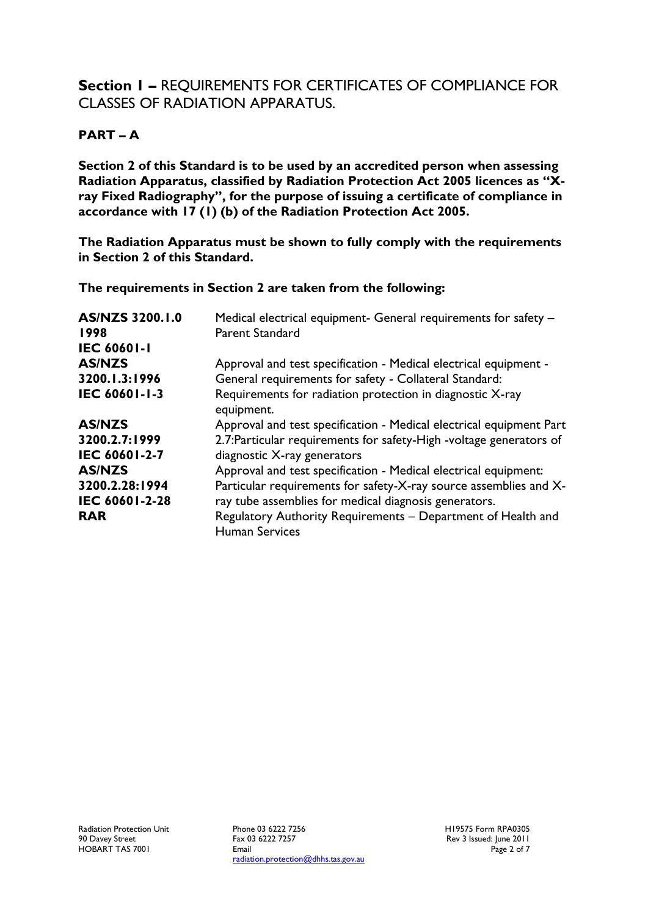### **Section 1 –** REQUIREMENTS FOR CERTIFICATES OF COMPLIANCE FOR CLASSES OF RADIATION APPARATUS.

#### **PART – A**

**Section 2 of this Standard is to be used by an accredited person when assessing Radiation Apparatus, classified by Radiation Protection Act 2005 licences as "Xray Fixed Radiography", for the purpose of issuing a certificate of compliance in accordance with 17 (1) (b) of the Radiation Protection Act 2005.**

**The Radiation Apparatus must be shown to fully comply with the requirements in Section 2 of this Standard.**

**The requirements in Section 2 are taken from the following:**

| AS/NZS 3200.1.0<br>1998<br><b>IEC 60601-1</b> | Medical electrical equipment- General requirements for safety -<br>Parent Standard    |
|-----------------------------------------------|---------------------------------------------------------------------------------------|
| <b>AS/NZS</b>                                 | Approval and test specification - Medical electrical equipment -                      |
| 3200.1.3:1996                                 | General requirements for safety - Collateral Standard:                                |
| IEC 60601-1-3                                 | Requirements for radiation protection in diagnostic X-ray<br>equipment.               |
| <b>AS/NZS</b>                                 | Approval and test specification - Medical electrical equipment Part                   |
| 3200.2.7:1999                                 | 2.7: Particular requirements for safety-High -voltage generators of                   |
| IEC 60601-2-7                                 | diagnostic X-ray generators                                                           |
| <b>AS/NZS</b>                                 | Approval and test specification - Medical electrical equipment:                       |
| 3200.2.28:1994                                | Particular requirements for safety-X-ray source assemblies and X-                     |
| IEC 60601-2-28                                | ray tube assemblies for medical diagnosis generators.                                 |
| <b>RAR</b>                                    | Regulatory Authority Requirements - Department of Health and<br><b>Human Services</b> |

Phone 03 6222 7256 Fax 03 6222 7257 Email radiation.protection@dhhs.tas.gov.au H19575 Form RPA0305 Rev 3 Issued: June 2011 Page 2 of 7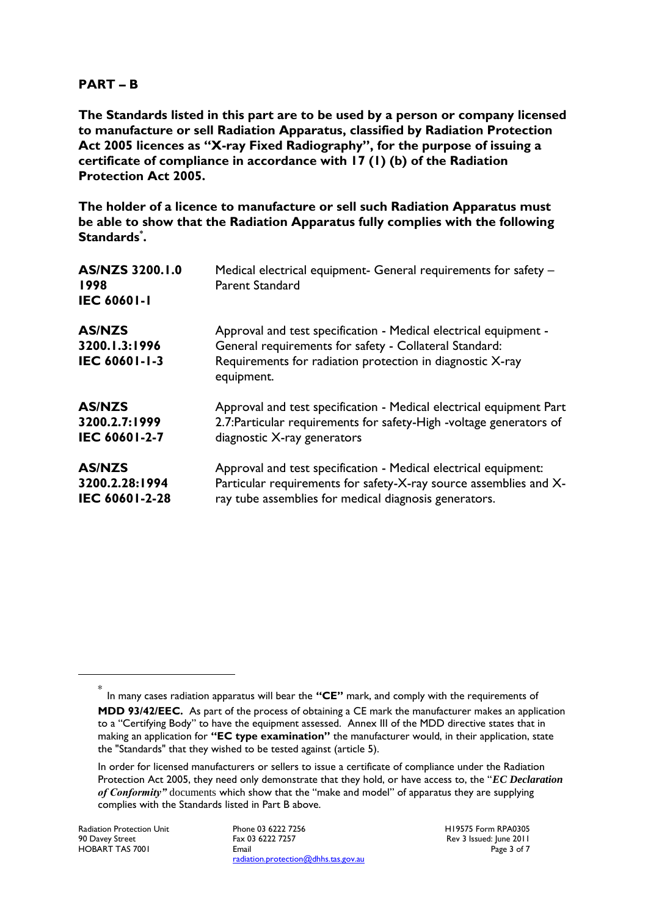#### **PART – B**

**The Standards listed in this part are to be used by a person or company licensed to manufacture or sell Radiation Apparatus, classified by Radiation Protection Act 2005 licences as "X-ray Fixed Radiography", for the purpose of issuing a certificate of compliance in accordance with 17 (1) (b) of the Radiation Protection Act 2005.**

**The holder of a licence to manufacture or sell such Radiation Apparatus must be able to show that the Radiation Apparatus fully complies with the following Standards\* .**

| AS/NZS 3200.1.0<br>1998<br><b>IEC 60601-1</b>          | Medical electrical equipment- General requirements for safety -<br>Parent Standard                                                                                                                    |
|--------------------------------------------------------|-------------------------------------------------------------------------------------------------------------------------------------------------------------------------------------------------------|
| <b>AS/NZS</b><br>3200.1.3:1996<br><b>IEC 60601-1-3</b> | Approval and test specification - Medical electrical equipment -<br>General requirements for safety - Collateral Standard:<br>Requirements for radiation protection in diagnostic X-ray<br>equipment. |
| <b>AS/NZS</b>                                          | Approval and test specification - Medical electrical equipment Part                                                                                                                                   |
| 3200.2.7:1999                                          | 2.7: Particular requirements for safety-High -voltage generators of                                                                                                                                   |
| IEC 60601-2-7                                          | diagnostic X-ray generators                                                                                                                                                                           |
| <b>AS/NZS</b>                                          | Approval and test specification - Medical electrical equipment:                                                                                                                                       |
| 3200.2.28:1994                                         | Particular requirements for safety-X-ray source assemblies and X-                                                                                                                                     |
| IEC 60601-2-28                                         | ray tube assemblies for medical diagnosis generators.                                                                                                                                                 |

1

H19575 Form RPA0305 Rev 3 Issued: June 2011 Page 3 of 7

<sup>\*</sup> In many cases radiation apparatus will bear the **"CE"** mark, and comply with the requirements of **MDD 93/42/EEC.** As part of the process of obtaining a CE mark the manufacturer makes an application to a "Certifying Body" to have the equipment assessed. Annex III of the MDD directive states that in making an application for **"EC type examination"** the manufacturer would, in their application, state the "Standards" that they wished to be tested against (article 5).

In order for licensed manufacturers or sellers to issue a certificate of compliance under the Radiation Protection Act 2005, they need only demonstrate that they hold, or have access to, the "*EC Declaration of Conformity"* documents which show that the "make and model" of apparatus they are supplying complies with the Standards listed in Part B above.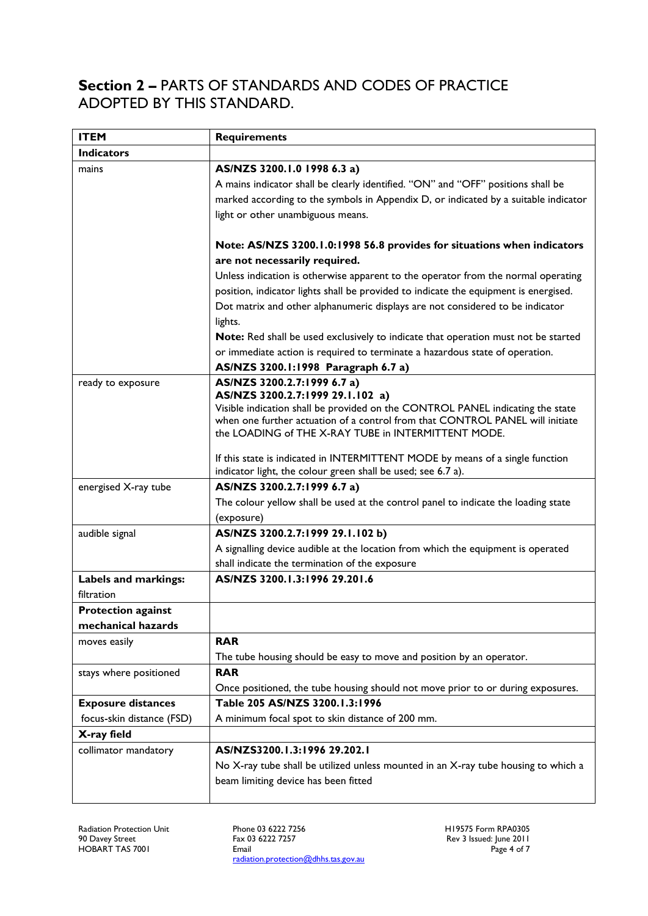### **Section 2 –** PARTS OF STANDARDS AND CODES OF PRACTICE ADOPTED BY THIS STANDARD.

| <b>ITEM</b>               | <b>Requirements</b>                                                                                                                           |
|---------------------------|-----------------------------------------------------------------------------------------------------------------------------------------------|
| <b>Indicators</b>         |                                                                                                                                               |
| mains                     | AS/NZS 3200.1.0 1998 6.3 a)                                                                                                                   |
|                           | A mains indicator shall be clearly identified. "ON" and "OFF" positions shall be                                                              |
|                           | marked according to the symbols in Appendix D, or indicated by a suitable indicator                                                           |
|                           | light or other unambiguous means.                                                                                                             |
|                           |                                                                                                                                               |
|                           | Note: AS/NZS 3200.1.0:1998 56.8 provides for situations when indicators                                                                       |
|                           | are not necessarily required.                                                                                                                 |
|                           | Unless indication is otherwise apparent to the operator from the normal operating                                                             |
|                           | position, indicator lights shall be provided to indicate the equipment is energised.                                                          |
|                           | Dot matrix and other alphanumeric displays are not considered to be indicator                                                                 |
|                           | lights.                                                                                                                                       |
|                           | Note: Red shall be used exclusively to indicate that operation must not be started                                                            |
|                           | or immediate action is required to terminate a hazardous state of operation.                                                                  |
|                           | AS/NZS 3200.1:1998 Paragraph 6.7 a)                                                                                                           |
| ready to exposure         | AS/NZS 3200.2.7:1999 6.7 a)                                                                                                                   |
|                           | AS/NZS 3200.2.7:1999 29.1.102 a)<br>Visible indication shall be provided on the CONTROL PANEL indicating the state                            |
|                           | when one further actuation of a control from that CONTROL PANEL will initiate                                                                 |
|                           | the LOADING of THE X-RAY TUBE in INTERMITTENT MODE.                                                                                           |
|                           |                                                                                                                                               |
|                           | If this state is indicated in INTERMITTENT MODE by means of a single function<br>indicator light, the colour green shall be used; see 6.7 a). |
|                           | AS/NZS 3200.2.7:1999 6.7 a)                                                                                                                   |
| energised X-ray tube      | The colour yellow shall be used at the control panel to indicate the loading state                                                            |
|                           | (exposure)                                                                                                                                    |
| audible signal            | AS/NZS 3200.2.7:1999 29.1.102 b)                                                                                                              |
|                           | A signalling device audible at the location from which the equipment is operated                                                              |
|                           | shall indicate the termination of the exposure                                                                                                |
| Labels and markings:      | AS/NZS 3200.1.3:1996 29.201.6                                                                                                                 |
| filtration                |                                                                                                                                               |
| <b>Protection against</b> |                                                                                                                                               |
| mechanical hazards        |                                                                                                                                               |
| moves easily              | <b>RAR</b>                                                                                                                                    |
|                           | The tube housing should be easy to move and position by an operator.                                                                          |
| stays where positioned    | <b>RAR</b>                                                                                                                                    |
|                           | Once positioned, the tube housing should not move prior to or during exposures.                                                               |
| <b>Exposure distances</b> | Table 205 AS/NZS 3200.1.3:1996                                                                                                                |
| focus-skin distance (FSD) | A minimum focal spot to skin distance of 200 mm.                                                                                              |
| X-ray field               |                                                                                                                                               |
| collimator mandatory      | AS/NZS3200.1.3:1996 29.202.1                                                                                                                  |
|                           | No X-ray tube shall be utilized unless mounted in an X-ray tube housing to which a                                                            |
|                           | beam limiting device has been fitted                                                                                                          |
|                           |                                                                                                                                               |

Phone 03 6222 7256 Fax 03 6222 7257 Email radiation.protection@dhhs.tas.gov.au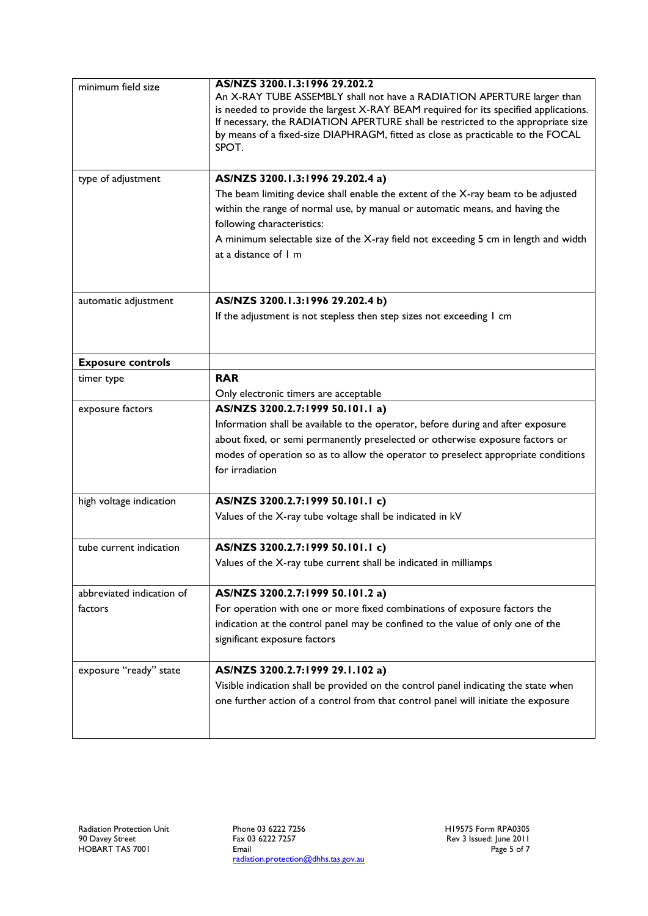| minimum field size<br>type of adjustment | AS/NZS 3200.1.3:1996 29.202.2<br>An X-RAY TUBE ASSEMBLY shall not have a RADIATION APERTURE larger than<br>is needed to provide the largest X-RAY BEAM required for its specified applications.<br>If necessary, the RADIATION APERTURE shall be restricted to the appropriate size<br>by means of a fixed-size DIAPHRAGM, fitted as close as practicable to the FOCAL<br>SPOT.<br>AS/NZS 3200.1.3:1996 29.202.4 a)<br>The beam limiting device shall enable the extent of the X-ray beam to be adjusted<br>within the range of normal use, by manual or automatic means, and having the<br>following characteristics:<br>A minimum selectable size of the X-ray field not exceeding 5 cm in length and width<br>at a distance of I m |
|------------------------------------------|---------------------------------------------------------------------------------------------------------------------------------------------------------------------------------------------------------------------------------------------------------------------------------------------------------------------------------------------------------------------------------------------------------------------------------------------------------------------------------------------------------------------------------------------------------------------------------------------------------------------------------------------------------------------------------------------------------------------------------------|
| automatic adjustment                     | AS/NZS 3200.1.3:1996 29.202.4 b)                                                                                                                                                                                                                                                                                                                                                                                                                                                                                                                                                                                                                                                                                                      |
|                                          | If the adjustment is not stepless then step sizes not exceeding I cm                                                                                                                                                                                                                                                                                                                                                                                                                                                                                                                                                                                                                                                                  |
| <b>Exposure controls</b>                 |                                                                                                                                                                                                                                                                                                                                                                                                                                                                                                                                                                                                                                                                                                                                       |
| timer type                               | <b>RAR</b>                                                                                                                                                                                                                                                                                                                                                                                                                                                                                                                                                                                                                                                                                                                            |
|                                          | Only electronic timers are acceptable                                                                                                                                                                                                                                                                                                                                                                                                                                                                                                                                                                                                                                                                                                 |
| exposure factors                         | AS/NZS 3200.2.7:1999 50.101.1 a)                                                                                                                                                                                                                                                                                                                                                                                                                                                                                                                                                                                                                                                                                                      |
|                                          | Information shall be available to the operator, before during and after exposure                                                                                                                                                                                                                                                                                                                                                                                                                                                                                                                                                                                                                                                      |
|                                          | about fixed, or semi permanently preselected or otherwise exposure factors or                                                                                                                                                                                                                                                                                                                                                                                                                                                                                                                                                                                                                                                         |
|                                          | modes of operation so as to allow the operator to preselect appropriate conditions<br>for irradiation                                                                                                                                                                                                                                                                                                                                                                                                                                                                                                                                                                                                                                 |
| high voltage indication                  | AS/NZS 3200.2.7:1999 50.101.1 c)                                                                                                                                                                                                                                                                                                                                                                                                                                                                                                                                                                                                                                                                                                      |
|                                          | Values of the X-ray tube voltage shall be indicated in kV                                                                                                                                                                                                                                                                                                                                                                                                                                                                                                                                                                                                                                                                             |
| tube current indication                  | AS/NZS 3200.2.7:1999 50.101.1 c)                                                                                                                                                                                                                                                                                                                                                                                                                                                                                                                                                                                                                                                                                                      |
|                                          | Values of the X-ray tube current shall be indicated in milliamps                                                                                                                                                                                                                                                                                                                                                                                                                                                                                                                                                                                                                                                                      |
| abbreviated indication of                | AS/NZS 3200.2.7:1999 50.101.2 a)                                                                                                                                                                                                                                                                                                                                                                                                                                                                                                                                                                                                                                                                                                      |
| factors                                  | For operation with one or more fixed combinations of exposure factors the                                                                                                                                                                                                                                                                                                                                                                                                                                                                                                                                                                                                                                                             |
|                                          | indication at the control panel may be confined to the value of only one of the                                                                                                                                                                                                                                                                                                                                                                                                                                                                                                                                                                                                                                                       |
|                                          | significant exposure factors                                                                                                                                                                                                                                                                                                                                                                                                                                                                                                                                                                                                                                                                                                          |
| exposure "ready" state                   | AS/NZS 3200.2.7:1999 29.1.102 a)                                                                                                                                                                                                                                                                                                                                                                                                                                                                                                                                                                                                                                                                                                      |
|                                          | Visible indication shall be provided on the control panel indicating the state when                                                                                                                                                                                                                                                                                                                                                                                                                                                                                                                                                                                                                                                   |
|                                          | one further action of a control from that control panel will initiate the exposure                                                                                                                                                                                                                                                                                                                                                                                                                                                                                                                                                                                                                                                    |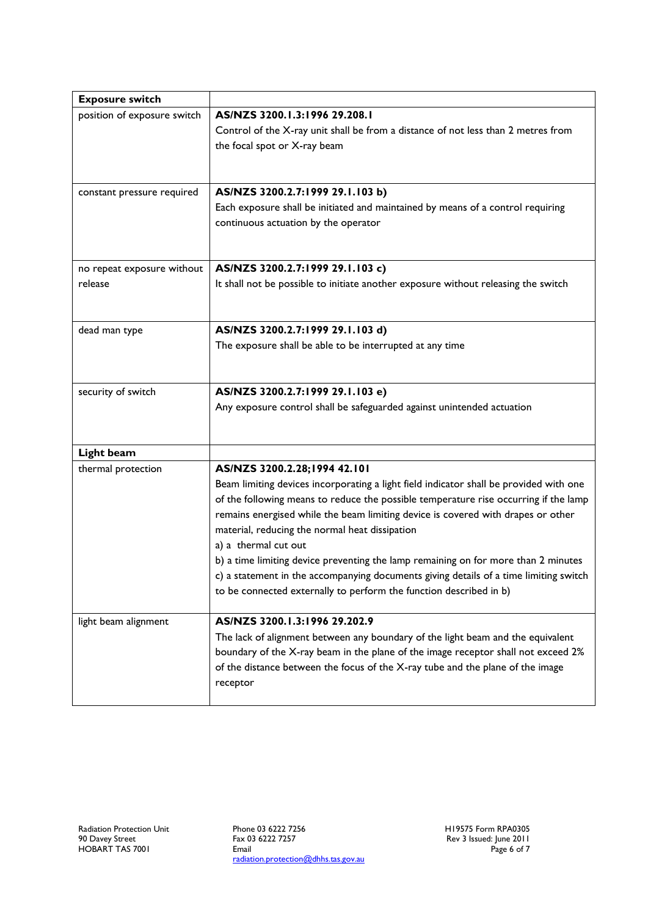| AS/NZS 3200.1.3:1996 29.208.1                                                                                                                               |
|-------------------------------------------------------------------------------------------------------------------------------------------------------------|
|                                                                                                                                                             |
| Control of the X-ray unit shall be from a distance of not less than 2 metres from<br>the focal spot or X-ray beam                                           |
|                                                                                                                                                             |
| AS/NZS 3200.2.7:1999 29.1.103 b)                                                                                                                            |
| Each exposure shall be initiated and maintained by means of a control requiring                                                                             |
| continuous actuation by the operator                                                                                                                        |
|                                                                                                                                                             |
| AS/NZS 3200.2.7:1999 29.1.103 c)                                                                                                                            |
| It shall not be possible to initiate another exposure without releasing the switch                                                                          |
| AS/NZS 3200.2.7:1999 29.1.103 d)                                                                                                                            |
| The exposure shall be able to be interrupted at any time                                                                                                    |
|                                                                                                                                                             |
| AS/NZS 3200.2.7:1999 29.1.103 e)                                                                                                                            |
| Any exposure control shall be safeguarded against unintended actuation                                                                                      |
|                                                                                                                                                             |
|                                                                                                                                                             |
| AS/NZS 3200.2.28;1994 42.101                                                                                                                                |
| Beam limiting devices incorporating a light field indicator shall be provided with one                                                                      |
| of the following means to reduce the possible temperature rise occurring if the lamp                                                                        |
| remains energised while the beam limiting device is covered with drapes or other                                                                            |
| material, reducing the normal heat dissipation                                                                                                              |
| a) a thermal cut out                                                                                                                                        |
| b) a time limiting device preventing the lamp remaining on for more than 2 minutes                                                                          |
| c) a statement in the accompanying documents giving details of a time limiting switch<br>to be connected externally to perform the function described in b) |
|                                                                                                                                                             |
| AS/NZS 3200.1.3:1996 29.202.9                                                                                                                               |
| The lack of alignment between any boundary of the light beam and the equivalent                                                                             |
| boundary of the X-ray beam in the plane of the image receptor shall not exceed 2%                                                                           |
| of the distance between the focus of the X-ray tube and the plane of the image                                                                              |
| receptor                                                                                                                                                    |
|                                                                                                                                                             |

Phone 03 6222 7256 Fax 03 6222 7257 Email radiation.protection@dhhs.tas.gov.au